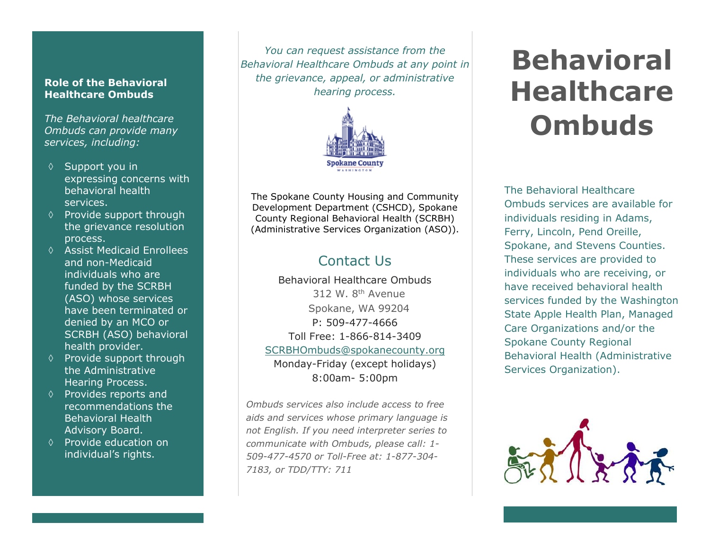#### **Role of the Behavioral Healthcare Ombuds**

*The Behavioral healthcare Ombuds can provide many services, including:*

- $\Diamond$  Support you in expressing concerns with behavioral health services.
- $\Diamond$  Provide support through the grievance resolution process.
- $\Diamond$  Assist Medicaid Enrollees and non-Medicaid individuals who are funded by the SCRBH (ASO) whose services have been terminated or denied by an MCO or SCRBH (ASO) behavioral health provider.
- $\Diamond$  Provide support through the Administrative Hearing Process.
- $\Diamond$  Provides reports and recommendations the Behavioral Health Advisory Board.
- $\Diamond$  Provide education on individual's rights.

*You can request assistance from the Behavioral Healthcare Ombuds at any point in the grievance, appeal, or administrative hearing process.*



The Spokane County Housing and Community Development Department (CSHCD), Spokane County Regional Behavioral Health (SCRBH) (Administrative Services Organization (ASO)).

# Contact Us

Behavioral Healthcare Ombuds 312 W. 8<sup>th</sup> Avenue Spokane, WA 99204 P: 509-477-4666 Toll Free: 1-866-814-3409 [SCRBHOmbuds@spokanecounty.org](mailto:SCRBHOmbuds@spokanecounty.org) Monday-Friday (except holidays) 8:00am- 5:00pm

*Ombuds services also include access to free aids and services whose primary language is not English. If you need interpreter series to communicate with Ombuds, please call: 1- 509-477-4570 or Toll-Free at: 1-877-304- 7183, or TDD/TTY: 711*

# **Behavioral Healthcare Ombuds**

The Behavioral Healthcare Ombuds services are available for individuals residing in Adams, Ferry, Lincoln, Pend Oreille, Spokane, and Stevens Counties. These services are provided to individuals who are receiving, or have received behavioral health services funded by the Washington State Apple Health Plan, Managed Care Organizations and/or the Spokane County Regional Behavioral Health (Administrative Services Organization).